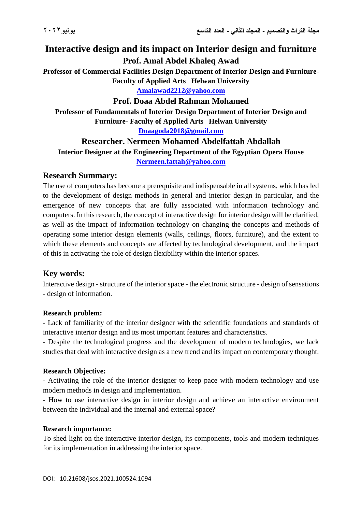# **Interactive design and its impact on Interior design and furniture Prof. Amal Abdel Khaleq Awad**

**Professor of Commercial Facilities Design Department of Interior Design and Furniture-Faculty of Applied Arts Helwan University**

**[Amalawad2212@yahoo.com](mailto:Amalawad2212@yahoo.com)**

**Prof. Doaa Abdel Rahman Mohamed**

**Professor of Fundamentals of Interior Design Department of Interior Design and Furniture- Faculty of Applied Arts Helwan University [Doaagoda2018@gmail.com](mailto:Doaagoda2018@gmail.com)**

**Researcher. Nermeen Mohamed Abdelfattah Abdallah Interior Designer at the Engineering Department of the Egyptian Opera House [Nermeen.fattah@yahoo.com](mailto:Nermeen.fattah@yahoo.com)**

## **Research Summary:**

The use of computers has become a prerequisite and indispensable in all systems, which has led to the development of design methods in general and interior design in particular, and the emergence of new concepts that are fully associated with information technology and computers. In this research, the concept of interactive design for interior design will be clarified, as well as the impact of information technology on changing the concepts and methods of operating some interior design elements (walls, ceilings, floors, furniture), and the extent to which these elements and concepts are affected by technological development, and the impact of this in activating the role of design flexibility within the interior spaces.

# **Key words:**

Interactive design - structure of the interior space - the electronic structure - design of sensations - design of information.

### **Research problem:**

- Lack of familiarity of the interior designer with the scientific foundations and standards of interactive interior design and its most important features and characteristics.

- Despite the technological progress and the development of modern technologies, we lack studies that deal with interactive design as a new trend and its impact on contemporary thought.

### **Research Objective:**

- Activating the role of the interior designer to keep pace with modern technology and use modern methods in design and implementation.

- How to use interactive design in interior design and achieve an interactive environment between the individual and the internal and external space?

### **Research importance:**

To shed light on the interactive interior design, its components, tools and modern techniques for its implementation in addressing the interior space.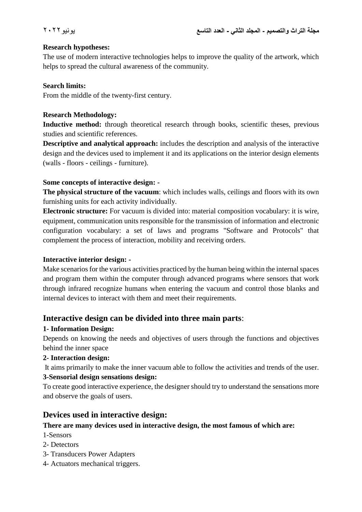### **Research hypotheses:**

The use of modern interactive technologies helps to improve the quality of the artwork, which helps to spread the cultural awareness of the community.

### **Search limits:**

From the middle of the twenty-first century.

### **Research Methodology:**

**Inductive method:** through theoretical research through books, scientific theses, previous studies and scientific references.

**Descriptive and analytical approach:** includes the description and analysis of the interactive design and the devices used to implement it and its applications on the interior design elements (walls - floors - ceilings - furniture).

### **Some concepts of interactive design: -**

**The physical structure of the vacuum**: which includes walls, ceilings and floors with its own furnishing units for each activity individually.

**Electronic structure:** For vacuum is divided into: material composition vocabulary: it is wire, equipment, communication units responsible for the transmission of information and electronic configuration vocabulary: a set of laws and programs "Software and Protocols" that complement the process of interaction, mobility and receiving orders.

### **Interactive interior design: -**

Make scenarios for the various activities practiced by the human being within the internal spaces and program them within the computer through advanced programs where sensors that work through infrared recognize humans when entering the vacuum and control those blanks and internal devices to interact with them and meet their requirements.

# **Interactive design can be divided into three main parts**:

### **1- Information Design:**

Depends on knowing the needs and objectives of users through the functions and objectives behind the inner space

### **2- Interaction design:**

It aims primarily to make the inner vacuum able to follow the activities and trends of the user.

### **3-Sensorial design sensations design:**

To create good interactive experience, the designer should try to understand the sensations more and observe the goals of users.

# **Devices used in interactive design:**

### **There are many devices used in interactive design, the most famous of which are:**

1-Sensors

- 2- Detectors
- 3- Transducers Power Adapters
- 4- Actuators mechanical triggers.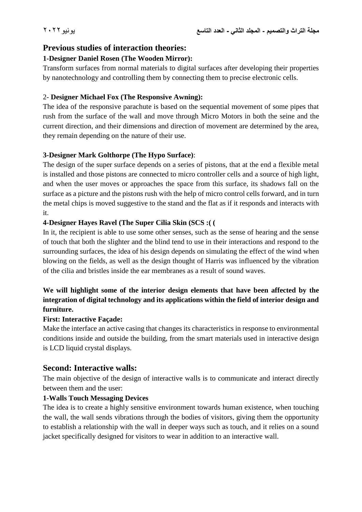# **Previous studies of interaction theories:**

## **1-Designer Daniel Rosen (The Wooden Mirror):**

Transform surfaces from normal materials to digital surfaces after developing their properties by nanotechnology and controlling them by connecting them to precise electronic cells.

### 2- **Designer Michael Fox (The Responsive Awning):**

The idea of the responsive parachute is based on the sequential movement of some pipes that rush from the surface of the wall and move through Micro Motors in both the seine and the current direction, and their dimensions and direction of movement are determined by the area, they remain depending on the nature of their use.

## **3-Designer Mark Golthorpe (The Hypo Surface)**:

The design of the super surface depends on a series of pistons, that at the end a flexible metal is installed and those pistons are connected to micro controller cells and a source of high light, and when the user moves or approaches the space from this surface, its shadows fall on the surface as a picture and the pistons rush with the help of micro control cells forward, and in turn the metal chips is moved suggestive to the stand and the flat as if it responds and interacts with it.

## **4-Designer Hayes Ravel (The Super Cilia Skin (SCS :( (**

In it, the recipient is able to use some other senses, such as the sense of hearing and the sense of touch that both the slighter and the blind tend to use in their interactions and respond to the surrounding surfaces, the idea of his design depends on simulating the effect of the wind when blowing on the fields, as well as the design thought of Harris was influenced by the vibration of the cilia and bristles inside the ear membranes as a result of sound waves.

# **We will highlight some of the interior design elements that have been affected by the integration of digital technology and its applications within the field of interior design and furniture.**

### **First: Interactive Façade:**

Make the interface an active casing that changes its characteristics in response to environmental conditions inside and outside the building, from the smart materials used in interactive design is LCD liquid crystal displays.

# **Second: Interactive walls:**

The main objective of the design of interactive walls is to communicate and interact directly between them and the user:

# **1-Walls Touch Messaging Devices**

The idea is to create a highly sensitive environment towards human existence, when touching the wall, the wall sends vibrations through the bodies of visitors, giving them the opportunity to establish a relationship with the wall in deeper ways such as touch, and it relies on a sound jacket specifically designed for visitors to wear in addition to an interactive wall.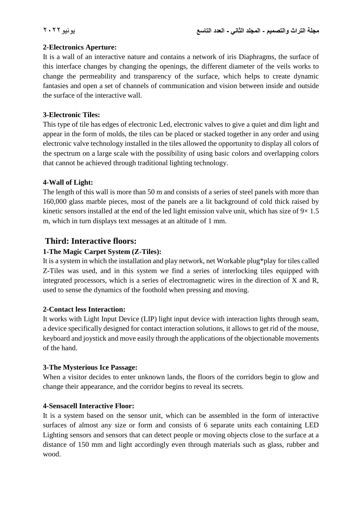### **2-Electronics Aperture:**

It is a wall of an interactive nature and contains a network of iris Diaphragms, the surface of this interface changes by changing the openings, the different diameter of the veils works to change the permeability and transparency of the surface, which helps to create dynamic fantasies and open a set of channels of communication and vision between inside and outside the surface of the interactive wall.

### **3-Electronic Tiles:**

This type of tile has edges of electronic Led, electronic valves to give a quiet and dim light and appear in the form of molds, the tiles can be placed or stacked together in any order and using electronic valve technology installed in the tiles allowed the opportunity to display all colors of the spectrum on a large scale with the possibility of using basic colors and overlapping colors that cannot be achieved through traditional lighting technology.

## **4-Wall of Light:**

The length of this wall is more than 50 m and consists of a series of steel panels with more than 160,000 glass marble pieces, most of the panels are a lit background of cold thick raised by kinetic sensors installed at the end of the led light emission valve unit, which has size of  $9 \times 1.5$ m, which in turn displays text messages at an altitude of 1 mm.

# **Third: Interactive floors:**

# **1-The Magic Carpet System (Z-Tiles):**

It is a system in which the installation and play network, net Workable plug\*play for tiles called Z-Tiles was used, and in this system we find a series of interlocking tiles equipped with integrated processors, which is a series of electromagnetic wires in the direction of X and R, used to sense the dynamics of the foothold when pressing and moving.

### **2-Contact less Interaction:**

It works with Light Input Device (LIP) light input device with interaction lights through seam, a device specifically designed for contact interaction solutions, it allows to get rid of the mouse, keyboard and joystick and move easily through the applications of the objectionable movements of the hand.

### **3-The Mysterious Ice Passage:**

When a visitor decides to enter unknown lands, the floors of the corridors begin to glow and change their appearance, and the corridor begins to reveal its secrets.

### **4-Sensacell Interactive Floor:**

It is a system based on the sensor unit, which can be assembled in the form of interactive surfaces of almost any size or form and consists of 6 separate units each containing LED Lighting sensors and sensors that can detect people or moving objects close to the surface at a distance of 150 mm and light accordingly even through materials such as glass, rubber and wood.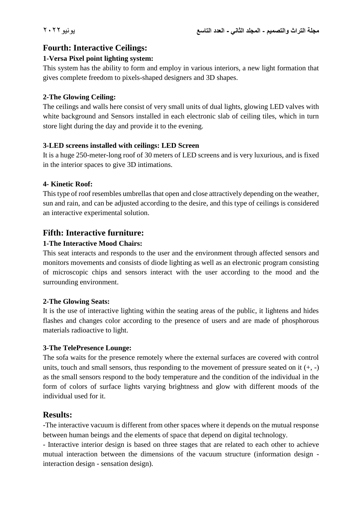# **Fourth: Interactive Ceilings:**

### **1-Versa Pixel point lighting system:**

This system has the ability to form and employ in various interiors, a new light formation that gives complete freedom to pixels-shaped designers and 3D shapes.

### **2-The Glowing Ceiling:**

The ceilings and walls here consist of very small units of dual lights, glowing LED valves with white background and Sensors installed in each electronic slab of ceiling tiles, which in turn store light during the day and provide it to the evening.

## **3-LED screens installed with ceilings: LED Screen**

It is a huge 250-meter-long roof of 30 meters of LED screens and is very luxurious, and is fixed in the interior spaces to give 3D intimations.

### **4- Kinetic Roof:**

This type of roof resembles umbrellas that open and close attractively depending on the weather, sun and rain, and can be adjusted according to the desire, and this type of ceilings is considered an interactive experimental solution.

# **Fifth: Interactive furniture:**

## **1-The Interactive Mood Chairs:**

This seat interacts and responds to the user and the environment through affected sensors and monitors movements and consists of diode lighting as well as an electronic program consisting of microscopic chips and sensors interact with the user according to the mood and the surrounding environment.

### **2-The Glowing Seats:**

It is the use of interactive lighting within the seating areas of the public, it lightens and hides flashes and changes color according to the presence of users and are made of phosphorous materials radioactive to light.

### **3-The TelePresence Lounge:**

The sofa waits for the presence remotely where the external surfaces are covered with control units, touch and small sensors, thus responding to the movement of pressure seated on it  $(+, -)$ as the small sensors respond to the body temperature and the condition of the individual in the form of colors of surface lights varying brightness and glow with different moods of the individual used for it.

# **Results:**

-The interactive vacuum is different from other spaces where it depends on the mutual response between human beings and the elements of space that depend on digital technology.

- Interactive interior design is based on three stages that are related to each other to achieve mutual interaction between the dimensions of the vacuum structure (information design interaction design - sensation design).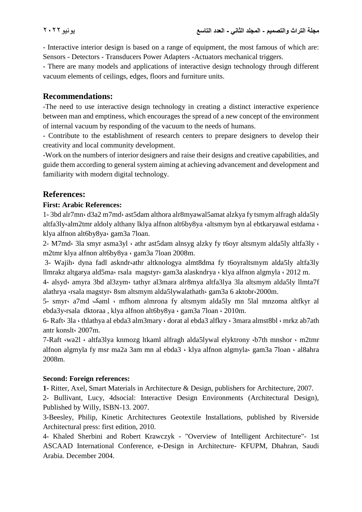- Interactive interior design is based on a range of equipment, the most famous of which are: Sensors - Detectors - Transducers Power Adapters -Actuators mechanical triggers.

- There are many models and applications of interactive design technology through different vacuum elements of ceilings, edges, floors and furniture units.

## **Recommendations:**

-The need to use interactive design technology in creating a distinct interactive experience between man and emptiness, which encourages the spread of a new concept of the environment of internal vacuum by responding of the vacuum to the needs of humans.

- Contribute to the establishment of research centers to prepare designers to develop their creativity and local community development.

-Work on the numbers of interior designers and raise their designs and creative capabilities, and guide them according to general system aiming at achieving advancement and development and familiarity with modern digital technology.

## **References:**

### **First: Arabic References:**

1- 3bd alr7mn، d3a2 m7md، ast5dam althora alr8myawal5amat alzkya fy tsmym alfragh alda5ly altfa3ly«alm2tmr aldoly althany lklya alfnon alt6by8ya «altsmym byn al ebtkaryawal estdama « klya alfnon alt6by8ya، gam3a 7loan.

2- M7md، 3la smyr asma3yl ، athr ast5dam alnsyg alzky fy t6oyr altsmym alda5ly altfa3ly ، m2tmr klya alfnon alt6by8ya ، gam3a 7loan 2008m.

3- Wajih، dyna fadl askndr،athr altknologya almt8dma fy t6oyraltsmym alda5ly altfa3ly llmrakz altgarya ald5ma، rsala magstyr، gam3a alaskndrya ، klya alfnon algmyla ، 2012 m.

4- alsyd، amyra 3bd al3zym، tathyr al3mara alr8mya altfa3lya 3la altsmym alda5ly llmta7f alathrya ،rsala magstyr، 8sm altsmym alda5lywalathath، gam3a 6 aktobr،2000m.

5- smyr، a7md کaml ، mfhom almrona fy altsmym alda5ly mn 5lal mnzoma altfkyr al ebda3y،rsala dktoraa , klya alfnon alt6by8ya ، gam3a 7loan ، 2010m.

6- Raft، 3la ، thlathya al ebda3 alm3mary ، dorat al ebda3 alfkry ، 3mara almst8bl ، mrkz ab7ath antr konslt، 2007m.

7-Raft ،wa2l ، altfa3lya knmozg ltkaml alfragh alda5lywal elyktrony ،b7th mnshor ، m2tmr alfnon algmyla fy msr ma2a 3am mn al ebda3 ، klya alfnon algmyla، gam3a 7loan ، al8ahra 2008m.

### **Second: Foreign references:**

**1-** Ritter, Axel, Smart Materials in Architecture & Design, publishers for Architecture, 2007.

2- Bullivant, Lucy, 4dsocial: Interactive Design Environments (Architectural Design), Published by Willy, ISBN-13. 2007.

3-Beesley, Philip, Kinetic Architectures Geotextile Installations, published by Riverside Architectural press: first edition, 2010.

4- Khaled Sherbini and Robert Krawczyk - "Overview of Intelligent Architecture"- 1st ASCAAD International Conference, e-Design in Architecture- KFUPM, Dhahran, Saudi Arabia. December 2004.